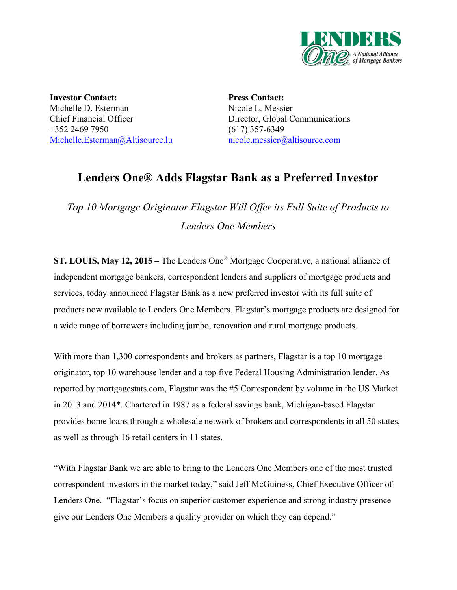

**Investor Contact:** Michelle D. Esterman Chief Financial Officer +352 2469 7950 [Michelle.Esterman@Altisource.lu](mailto:Michelle.Esterman@Altisource.lu)

**Press Contact:** Nicole L. Messier Director, Global Communications  $(617)$  357-6349 [nicole.messier@altisource.com](mailto:kkovalak@lendersone.com)

## **Lenders One® Adds Flagstar Bank as a Preferred Investor**

*Top 10 Mortgage Originator Flagstar Will Of er its Full Suite of Products to Lenders One Members*

**ST. LOUIS, May 12, 2015 –** The Lenders One ® Mortgage Cooperative, a national alliance of independent mortgage bankers, correspondent lenders and suppliers of mortgage products and services, today announced Flagstar Bank as a new preferred investor with its full suite of products now available to Lenders One Members. Flagstar's mortgage products are designed for a wide range of borrowers including jumbo, renovation and rural mortgage products.

With more than 1,300 correspondents and brokers as partners, Flagstar is a top 10 mortgage originator, top 10 warehouse lender and a top five Federal Housing Administration lender. As reported by mortgagestats.com, Flagstar was the #5 Correspondent by volume in the US Market in 2013 and 2014\*. Chartered in 1987 as a federal savings bank, Michigan-based Flagstar provides home loans through a wholesale network of brokers and correspondents in all 50 states, as well as through 16 retail centers in 11 states.

"With Flagstar Bank we are able to bring to the Lenders One Members one of the most trusted correspondent investors in the market today," said Jeff McGuiness, Chief Executive Officer of Lenders One. "Flagstar's focus on superior customer experience and strong industry presence give our Lenders One Members a quality provider on which they can depend."